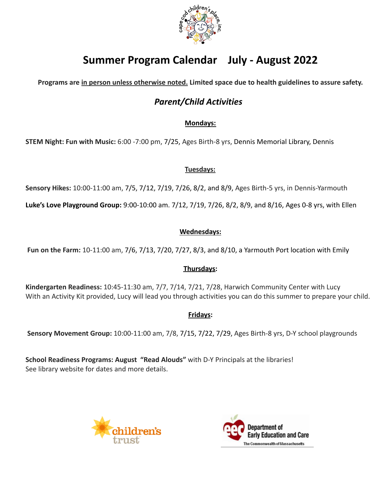

# **Summer Program Calendar July - August 2022**

**Programs are in person unless otherwise noted. Limited space due to health guidelines to assure safety.**

# *Parent/Child Activities*

### **Mondays:**

**STEM Night: Fun with Music:** 6:00 -7:00 pm, 7/25, Ages Birth-8 yrs, Dennis Memorial Library, Dennis

### **Tuesdays:**

**Sensory Hikes:** 10:00-11:00 am, 7/5, 7/12, 7/19, 7/26, 8/2, and 8/9, Ages Birth-5 yrs, in Dennis-Yarmouth

**Luke's Love Playground Group:** 9:00-10:00 am. 7/12, 7/19, 7/26, 8/2, 8/9, and 8/16, Ages 0-8 yrs, with Ellen

### **Wednesdays:**

**Fun on the Farm:** 10-11:00 am, 7/6, 7/13, 7/20, 7/27, 8/3, and 8/10, a Yarmouth Port location with Emily

### **Thursdays:**

**Kindergarten Readiness:** 10:45-11:30 am, 7/7, 7/14, 7/21, 7/28, Harwich Community Center with Lucy With an Activity Kit provided, Lucy will lead you through activities you can do this summer to prepare your child.

### **Fridays:**

**Sensory Movement Group:** 10:00-11:00 am, 7/8, 7/15, 7/22, 7/29, Ages Birth-8 yrs, D-Y school playgrounds

**School Readiness Programs: August "Read Alouds"** with D-Y Principals at the libraries! See library website for dates and more details.